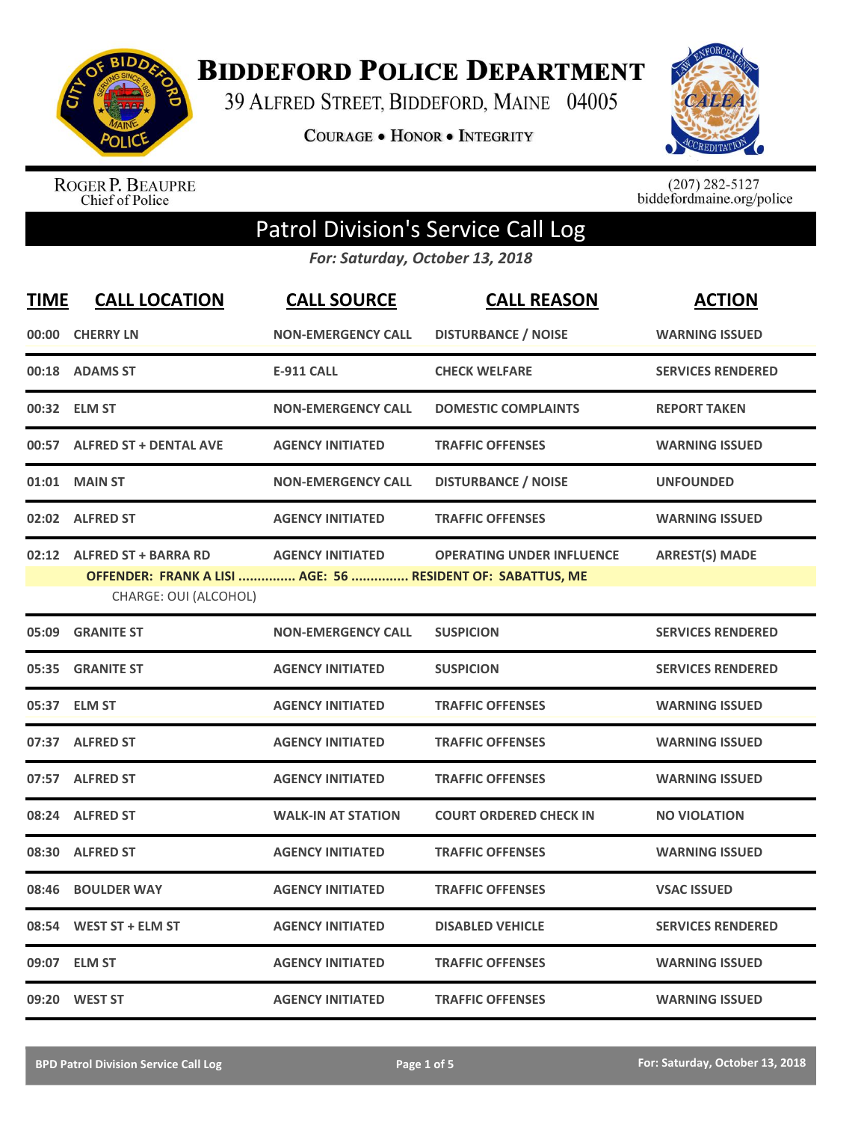

**BIDDEFORD POLICE DEPARTMENT** 

39 ALFRED STREET, BIDDEFORD, MAINE 04005

**COURAGE . HONOR . INTEGRITY** 



ROGER P. BEAUPRE<br>Chief of Police

 $(207)$  282-5127<br>biddefordmaine.org/police

## Patrol Division's Service Call Log

*For: Saturday, October 13, 2018*

| <b>TIME</b> | <b>CALL LOCATION</b>                                                                                              | <b>CALL SOURCE</b>        | <b>CALL REASON</b>               | <b>ACTION</b>            |
|-------------|-------------------------------------------------------------------------------------------------------------------|---------------------------|----------------------------------|--------------------------|
|             | 00:00 CHERRY LN                                                                                                   | <b>NON-EMERGENCY CALL</b> | <b>DISTURBANCE / NOISE</b>       | <b>WARNING ISSUED</b>    |
|             | 00:18 ADAMS ST                                                                                                    | <b>E-911 CALL</b>         | <b>CHECK WELFARE</b>             | <b>SERVICES RENDERED</b> |
|             | 00:32 ELM ST                                                                                                      | <b>NON-EMERGENCY CALL</b> | <b>DOMESTIC COMPLAINTS</b>       | <b>REPORT TAKEN</b>      |
|             | 00:57 ALFRED ST + DENTAL AVE                                                                                      | <b>AGENCY INITIATED</b>   | <b>TRAFFIC OFFENSES</b>          | <b>WARNING ISSUED</b>    |
|             | 01:01 MAIN ST                                                                                                     | <b>NON-EMERGENCY CALL</b> | <b>DISTURBANCE / NOISE</b>       | <b>UNFOUNDED</b>         |
|             | 02:02 ALFRED ST                                                                                                   | <b>AGENCY INITIATED</b>   | <b>TRAFFIC OFFENSES</b>          | <b>WARNING ISSUED</b>    |
|             | 02:12 ALFRED ST + BARRA RD<br>OFFENDER: FRANK A LISI  AGE: 56  RESIDENT OF: SABATTUS, ME<br>CHARGE: OUI (ALCOHOL) | <b>AGENCY INITIATED</b>   | <b>OPERATING UNDER INFLUENCE</b> | <b>ARREST(S) MADE</b>    |
|             | 05:09 GRANITE ST                                                                                                  | <b>NON-EMERGENCY CALL</b> | <b>SUSPICION</b>                 | <b>SERVICES RENDERED</b> |
| 05:35       | <b>GRANITE ST</b>                                                                                                 | <b>AGENCY INITIATED</b>   | <b>SUSPICION</b>                 | <b>SERVICES RENDERED</b> |
|             | 05:37 ELM ST                                                                                                      | <b>AGENCY INITIATED</b>   | <b>TRAFFIC OFFENSES</b>          | <b>WARNING ISSUED</b>    |
|             | 07:37 ALFRED ST                                                                                                   | <b>AGENCY INITIATED</b>   | <b>TRAFFIC OFFENSES</b>          | <b>WARNING ISSUED</b>    |
|             | 07:57 ALFRED ST                                                                                                   | <b>AGENCY INITIATED</b>   | <b>TRAFFIC OFFENSES</b>          | <b>WARNING ISSUED</b>    |
|             | 08:24 ALFRED ST                                                                                                   | <b>WALK-IN AT STATION</b> | <b>COURT ORDERED CHECK IN</b>    | <b>NO VIOLATION</b>      |
| 08:30       | <b>ALFRED ST</b>                                                                                                  | <b>AGENCY INITIATED</b>   | <b>TRAFFIC OFFENSES</b>          | <b>WARNING ISSUED</b>    |
| 08:46       | <b>BOULDER WAY</b>                                                                                                | <b>AGENCY INITIATED</b>   | <b>TRAFFIC OFFENSES</b>          | <b>VSAC ISSUED</b>       |
| 08:54       | WEST ST + ELM ST                                                                                                  | <b>AGENCY INITIATED</b>   | <b>DISABLED VEHICLE</b>          | <b>SERVICES RENDERED</b> |
|             | 09:07 ELM ST                                                                                                      | <b>AGENCY INITIATED</b>   | <b>TRAFFIC OFFENSES</b>          | <b>WARNING ISSUED</b>    |
|             | 09:20 WEST ST                                                                                                     | <b>AGENCY INITIATED</b>   | <b>TRAFFIC OFFENSES</b>          | <b>WARNING ISSUED</b>    |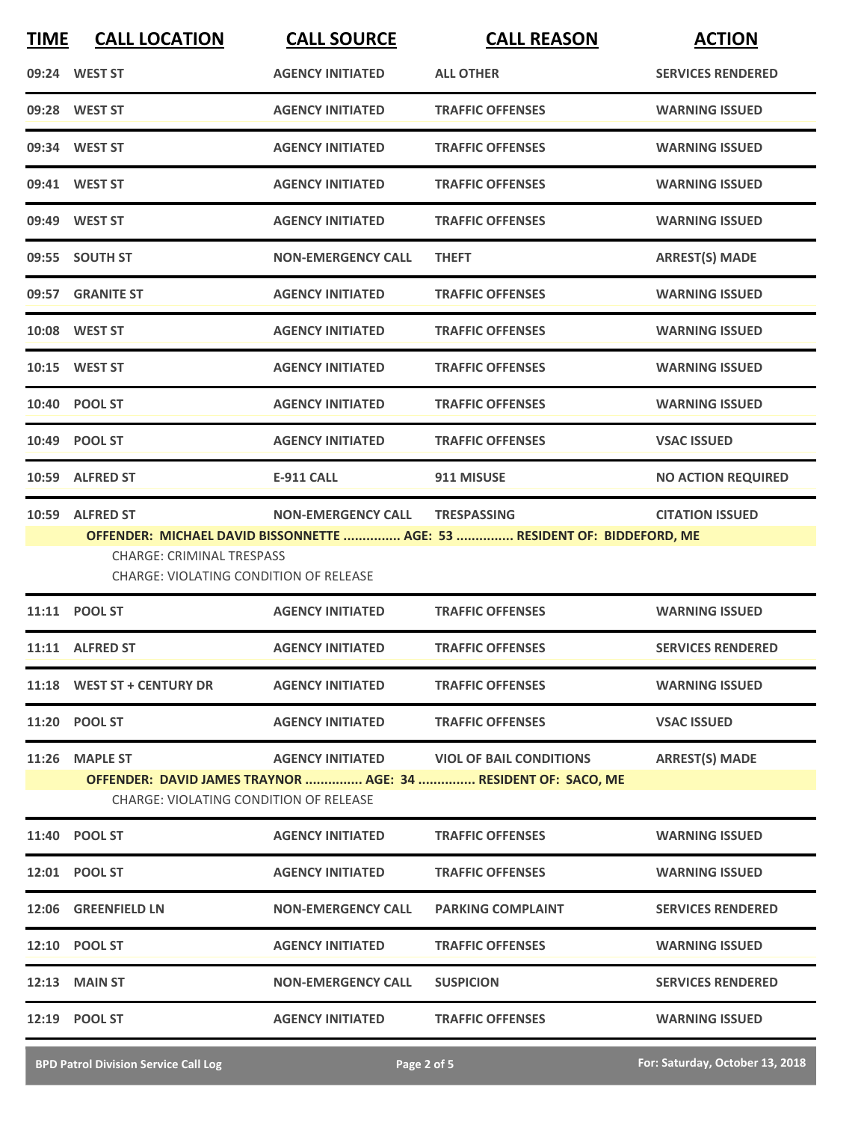| <b>TIME</b> | <b>CALL LOCATION</b>                                                              | <b>CALL SOURCE</b>        | <b>CALL REASON</b>                                                       | <b>ACTION</b>             |
|-------------|-----------------------------------------------------------------------------------|---------------------------|--------------------------------------------------------------------------|---------------------------|
|             | 09:24 WEST ST                                                                     | <b>AGENCY INITIATED</b>   | <b>ALL OTHER</b>                                                         | <b>SERVICES RENDERED</b>  |
|             | 09:28 WEST ST                                                                     | <b>AGENCY INITIATED</b>   | <b>TRAFFIC OFFENSES</b>                                                  | <b>WARNING ISSUED</b>     |
|             | 09:34 WEST ST                                                                     | <b>AGENCY INITIATED</b>   | <b>TRAFFIC OFFENSES</b>                                                  | <b>WARNING ISSUED</b>     |
|             | 09:41 WEST ST                                                                     | <b>AGENCY INITIATED</b>   | <b>TRAFFIC OFFENSES</b>                                                  | <b>WARNING ISSUED</b>     |
|             | 09:49 WEST ST                                                                     | <b>AGENCY INITIATED</b>   | <b>TRAFFIC OFFENSES</b>                                                  | <b>WARNING ISSUED</b>     |
|             | 09:55 SOUTH ST                                                                    | <b>NON-EMERGENCY CALL</b> | <b>THEFT</b>                                                             | <b>ARREST(S) MADE</b>     |
|             | 09:57 GRANITE ST                                                                  | <b>AGENCY INITIATED</b>   | <b>TRAFFIC OFFENSES</b>                                                  | <b>WARNING ISSUED</b>     |
|             | 10:08 WEST ST                                                                     | <b>AGENCY INITIATED</b>   | <b>TRAFFIC OFFENSES</b>                                                  | <b>WARNING ISSUED</b>     |
|             | 10:15 WEST ST                                                                     | <b>AGENCY INITIATED</b>   | <b>TRAFFIC OFFENSES</b>                                                  | <b>WARNING ISSUED</b>     |
|             | 10:40 POOL ST                                                                     | <b>AGENCY INITIATED</b>   | <b>TRAFFIC OFFENSES</b>                                                  | <b>WARNING ISSUED</b>     |
|             | 10:49 POOL ST                                                                     | <b>AGENCY INITIATED</b>   | <b>TRAFFIC OFFENSES</b>                                                  | <b>VSAC ISSUED</b>        |
|             | 10:59 ALFRED ST                                                                   | <b>E-911 CALL</b>         | 911 MISUSE                                                               | <b>NO ACTION REQUIRED</b> |
|             | 10:59 ALFRED ST                                                                   | <b>NON-EMERGENCY CALL</b> | <b>TRESPASSING</b>                                                       | <b>CITATION ISSUED</b>    |
|             | <b>CHARGE: CRIMINAL TRESPASS</b><br><b>CHARGE: VIOLATING CONDITION OF RELEASE</b> |                           | OFFENDER: MICHAEL DAVID BISSONNETTE  AGE: 53  RESIDENT OF: BIDDEFORD, ME |                           |
|             | 11:11 POOL ST                                                                     | <b>AGENCY INITIATED</b>   | <b>TRAFFIC OFFENSES</b>                                                  | <b>WARNING ISSUED</b>     |
|             | 11:11 ALFRED ST                                                                   | <b>AGENCY INITIATED</b>   | <b>TRAFFIC OFFENSES</b>                                                  | <b>SERVICES RENDERED</b>  |
|             | 11:18 WEST ST + CENTURY DR                                                        | <b>AGENCY INITIATED</b>   | <b>TRAFFIC OFFENSES</b>                                                  | <b>WARNING ISSUED</b>     |
|             | 11:20 POOL ST                                                                     | <b>AGENCY INITIATED</b>   | <b>TRAFFIC OFFENSES</b>                                                  | <b>VSAC ISSUED</b>        |
|             | 11:26 MAPLE ST                                                                    |                           | AGENCY INITIATED VIOL OF BAIL CONDITIONS                                 | <b>ARREST(S) MADE</b>     |
|             | <b>CHARGE: VIOLATING CONDITION OF RELEASE</b>                                     |                           | OFFENDER: DAVID JAMES TRAYNOR  AGE: 34  RESIDENT OF: SACO, ME            |                           |
|             | 11:40 POOL ST                                                                     | <b>AGENCY INITIATED</b>   | <b>TRAFFIC OFFENSES</b>                                                  | <b>WARNING ISSUED</b>     |
|             | 12:01 POOL ST                                                                     | <b>AGENCY INITIATED</b>   | <b>TRAFFIC OFFENSES</b>                                                  | <b>WARNING ISSUED</b>     |
|             | 12:06 GREENFIELD LN                                                               | <b>NON-EMERGENCY CALL</b> | <b>PARKING COMPLAINT</b>                                                 | <b>SERVICES RENDERED</b>  |
|             | 12:10 POOL ST                                                                     | <b>AGENCY INITIATED</b>   | <b>TRAFFIC OFFENSES</b>                                                  | <b>WARNING ISSUED</b>     |
|             | <b>12:13 MAIN ST</b>                                                              | <b>NON-EMERGENCY CALL</b> | <b>SUSPICION</b>                                                         | <b>SERVICES RENDERED</b>  |
|             | 12:19 POOL ST                                                                     | <b>AGENCY INITIATED</b>   | <b>TRAFFIC OFFENSES</b>                                                  | <b>WARNING ISSUED</b>     |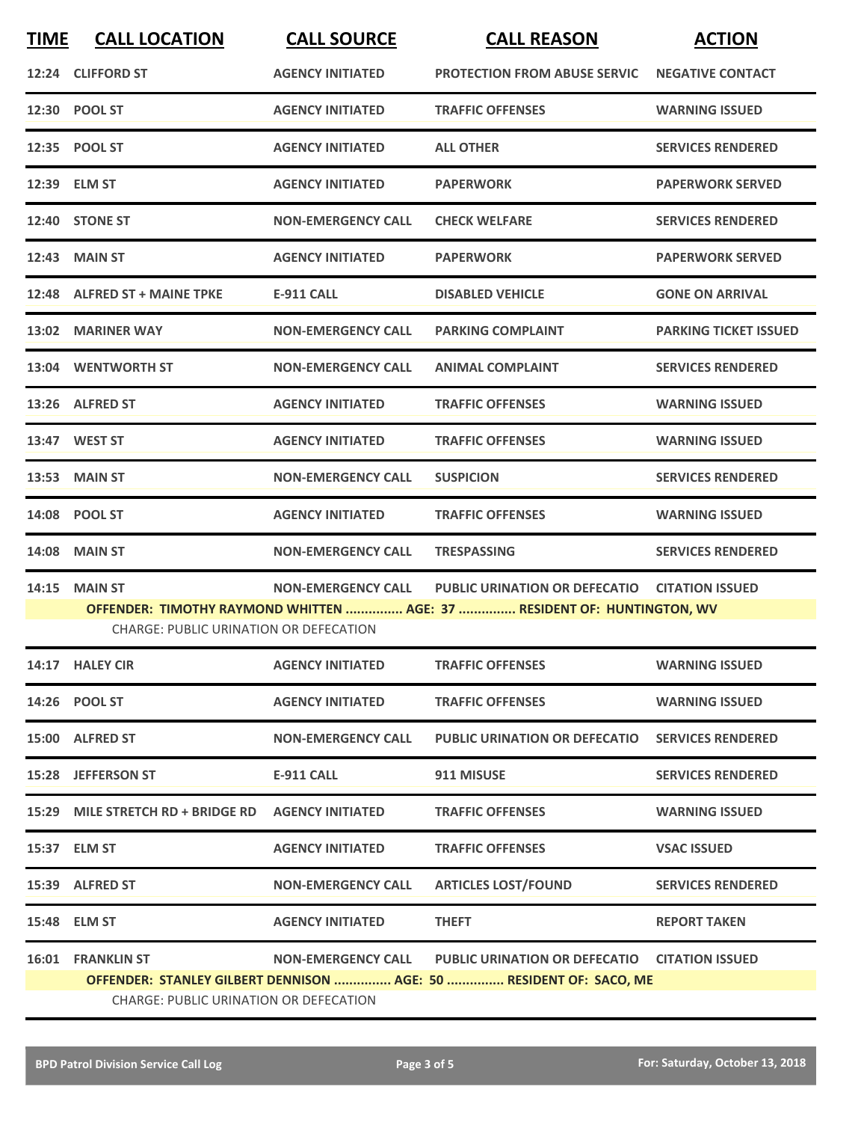| 12:24 CLIFFORD ST<br><b>AGENCY INITIATED</b><br><b>PROTECTION FROM ABUSE SERVIC</b><br><b>NEGATIVE CONTACT</b><br>12:30 POOL ST<br><b>AGENCY INITIATED</b><br><b>TRAFFIC OFFENSES</b><br><b>WARNING ISSUED</b><br>12:35 POOL ST<br><b>AGENCY INITIATED</b><br><b>ALL OTHER</b><br><b>SERVICES RENDERED</b><br>12:39 ELM ST<br><b>AGENCY INITIATED</b><br><b>PAPERWORK</b><br><b>PAPERWORK SERVED</b><br>12:40 STONE ST<br><b>SERVICES RENDERED</b><br><b>NON-EMERGENCY CALL</b><br><b>CHECK WELFARE</b><br><b>12:43 MAIN ST</b><br><b>AGENCY INITIATED</b><br><b>PAPERWORK</b><br><b>PAPERWORK SERVED</b><br>12:48 ALFRED ST + MAINE TPKE<br><b>E-911 CALL</b><br><b>DISABLED VEHICLE</b><br><b>GONE ON ARRIVAL</b><br><b>MARINER WAY</b><br><b>NON-EMERGENCY CALL</b><br><b>PARKING COMPLAINT</b><br><b>PARKING TICKET ISSUED</b><br>13:02<br>13:04 WENTWORTH ST<br><b>NON-EMERGENCY CALL</b><br><b>ANIMAL COMPLAINT</b><br><b>SERVICES RENDERED</b><br>13:26 ALFRED ST<br><b>AGENCY INITIATED</b><br><b>TRAFFIC OFFENSES</b><br><b>WARNING ISSUED</b><br>13:47 WEST ST<br><b>AGENCY INITIATED</b><br><b>TRAFFIC OFFENSES</b><br><b>WARNING ISSUED</b><br><b>13:53 MAIN ST</b><br><b>NON-EMERGENCY CALL</b><br><b>SUSPICION</b><br><b>SERVICES RENDERED</b><br>14:08 POOL ST<br><b>AGENCY INITIATED</b><br><b>TRAFFIC OFFENSES</b><br><b>WARNING ISSUED</b><br><b>MAIN ST</b><br><b>NON-EMERGENCY CALL</b><br><b>TRESPASSING</b><br><b>SERVICES RENDERED</b><br>14:08<br><b>MAIN ST</b><br><b>NON-EMERGENCY CALL</b><br><b>PUBLIC URINATION OR DEFECATIO</b><br><b>CITATION ISSUED</b><br>14:15<br>OFFENDER: TIMOTHY RAYMOND WHITTEN  AGE: 37  RESIDENT OF: HUNTINGTON, WV<br><b>CHARGE: PUBLIC URINATION OR DEFECATION</b><br>14:17 HALEY CIR<br><b>AGENCY INITIATED</b><br><b>TRAFFIC OFFENSES</b><br><b>WARNING ISSUED</b><br>14:26 POOL ST<br><b>AGENCY INITIATED</b><br><b>TRAFFIC OFFENSES</b><br><b>WARNING ISSUED</b><br>15:00 ALFRED ST<br><b>NON-EMERGENCY CALL</b><br><b>PUBLIC URINATION OR DEFECATIO</b><br><b>SERVICES RENDERED</b><br>15:28 JEFFERSON ST<br><b>E-911 CALL</b><br>911 MISUSE<br><b>SERVICES RENDERED</b><br>15:29 MILE STRETCH RD + BRIDGE RD AGENCY INITIATED<br><b>TRAFFIC OFFENSES</b><br><b>WARNING ISSUED</b><br>15:37 ELM ST<br><b>AGENCY INITIATED</b><br><b>TRAFFIC OFFENSES</b><br><b>VSAC ISSUED</b><br>15:39 ALFRED ST<br><b>ARTICLES LOST/FOUND</b><br><b>NON-EMERGENCY CALL</b><br><b>SERVICES RENDERED</b><br>15:48 ELM ST<br><b>AGENCY INITIATED</b><br><b>THEFT</b><br><b>REPORT TAKEN</b><br><b>16:01 FRANKLIN ST</b><br><b>NON-EMERGENCY CALL</b><br><b>PUBLIC URINATION OR DEFECATIO</b><br><b>CITATION ISSUED</b> | <b>TIME</b> | <b>CALL LOCATION</b> | <b>CALL SOURCE</b> | <b>CALL REASON</b> | <b>ACTION</b> |  |  |
|----------------------------------------------------------------------------------------------------------------------------------------------------------------------------------------------------------------------------------------------------------------------------------------------------------------------------------------------------------------------------------------------------------------------------------------------------------------------------------------------------------------------------------------------------------------------------------------------------------------------------------------------------------------------------------------------------------------------------------------------------------------------------------------------------------------------------------------------------------------------------------------------------------------------------------------------------------------------------------------------------------------------------------------------------------------------------------------------------------------------------------------------------------------------------------------------------------------------------------------------------------------------------------------------------------------------------------------------------------------------------------------------------------------------------------------------------------------------------------------------------------------------------------------------------------------------------------------------------------------------------------------------------------------------------------------------------------------------------------------------------------------------------------------------------------------------------------------------------------------------------------------------------------------------------------------------------------------------------------------------------------------------------------------------------------------------------------------------------------------------------------------------------------------------------------------------------------------------------------------------------------------------------------------------------------------------------------------------------------------------------------------------------------------------------------------------------------------------------------------------------------------------------------------------------------------------------------------------------------------------------------------------------------------------|-------------|----------------------|--------------------|--------------------|---------------|--|--|
|                                                                                                                                                                                                                                                                                                                                                                                                                                                                                                                                                                                                                                                                                                                                                                                                                                                                                                                                                                                                                                                                                                                                                                                                                                                                                                                                                                                                                                                                                                                                                                                                                                                                                                                                                                                                                                                                                                                                                                                                                                                                                                                                                                                                                                                                                                                                                                                                                                                                                                                                                                                                                                                                      |             |                      |                    |                    |               |  |  |
|                                                                                                                                                                                                                                                                                                                                                                                                                                                                                                                                                                                                                                                                                                                                                                                                                                                                                                                                                                                                                                                                                                                                                                                                                                                                                                                                                                                                                                                                                                                                                                                                                                                                                                                                                                                                                                                                                                                                                                                                                                                                                                                                                                                                                                                                                                                                                                                                                                                                                                                                                                                                                                                                      |             |                      |                    |                    |               |  |  |
|                                                                                                                                                                                                                                                                                                                                                                                                                                                                                                                                                                                                                                                                                                                                                                                                                                                                                                                                                                                                                                                                                                                                                                                                                                                                                                                                                                                                                                                                                                                                                                                                                                                                                                                                                                                                                                                                                                                                                                                                                                                                                                                                                                                                                                                                                                                                                                                                                                                                                                                                                                                                                                                                      |             |                      |                    |                    |               |  |  |
|                                                                                                                                                                                                                                                                                                                                                                                                                                                                                                                                                                                                                                                                                                                                                                                                                                                                                                                                                                                                                                                                                                                                                                                                                                                                                                                                                                                                                                                                                                                                                                                                                                                                                                                                                                                                                                                                                                                                                                                                                                                                                                                                                                                                                                                                                                                                                                                                                                                                                                                                                                                                                                                                      |             |                      |                    |                    |               |  |  |
|                                                                                                                                                                                                                                                                                                                                                                                                                                                                                                                                                                                                                                                                                                                                                                                                                                                                                                                                                                                                                                                                                                                                                                                                                                                                                                                                                                                                                                                                                                                                                                                                                                                                                                                                                                                                                                                                                                                                                                                                                                                                                                                                                                                                                                                                                                                                                                                                                                                                                                                                                                                                                                                                      |             |                      |                    |                    |               |  |  |
|                                                                                                                                                                                                                                                                                                                                                                                                                                                                                                                                                                                                                                                                                                                                                                                                                                                                                                                                                                                                                                                                                                                                                                                                                                                                                                                                                                                                                                                                                                                                                                                                                                                                                                                                                                                                                                                                                                                                                                                                                                                                                                                                                                                                                                                                                                                                                                                                                                                                                                                                                                                                                                                                      |             |                      |                    |                    |               |  |  |
|                                                                                                                                                                                                                                                                                                                                                                                                                                                                                                                                                                                                                                                                                                                                                                                                                                                                                                                                                                                                                                                                                                                                                                                                                                                                                                                                                                                                                                                                                                                                                                                                                                                                                                                                                                                                                                                                                                                                                                                                                                                                                                                                                                                                                                                                                                                                                                                                                                                                                                                                                                                                                                                                      |             |                      |                    |                    |               |  |  |
|                                                                                                                                                                                                                                                                                                                                                                                                                                                                                                                                                                                                                                                                                                                                                                                                                                                                                                                                                                                                                                                                                                                                                                                                                                                                                                                                                                                                                                                                                                                                                                                                                                                                                                                                                                                                                                                                                                                                                                                                                                                                                                                                                                                                                                                                                                                                                                                                                                                                                                                                                                                                                                                                      |             |                      |                    |                    |               |  |  |
|                                                                                                                                                                                                                                                                                                                                                                                                                                                                                                                                                                                                                                                                                                                                                                                                                                                                                                                                                                                                                                                                                                                                                                                                                                                                                                                                                                                                                                                                                                                                                                                                                                                                                                                                                                                                                                                                                                                                                                                                                                                                                                                                                                                                                                                                                                                                                                                                                                                                                                                                                                                                                                                                      |             |                      |                    |                    |               |  |  |
|                                                                                                                                                                                                                                                                                                                                                                                                                                                                                                                                                                                                                                                                                                                                                                                                                                                                                                                                                                                                                                                                                                                                                                                                                                                                                                                                                                                                                                                                                                                                                                                                                                                                                                                                                                                                                                                                                                                                                                                                                                                                                                                                                                                                                                                                                                                                                                                                                                                                                                                                                                                                                                                                      |             |                      |                    |                    |               |  |  |
|                                                                                                                                                                                                                                                                                                                                                                                                                                                                                                                                                                                                                                                                                                                                                                                                                                                                                                                                                                                                                                                                                                                                                                                                                                                                                                                                                                                                                                                                                                                                                                                                                                                                                                                                                                                                                                                                                                                                                                                                                                                                                                                                                                                                                                                                                                                                                                                                                                                                                                                                                                                                                                                                      |             |                      |                    |                    |               |  |  |
|                                                                                                                                                                                                                                                                                                                                                                                                                                                                                                                                                                                                                                                                                                                                                                                                                                                                                                                                                                                                                                                                                                                                                                                                                                                                                                                                                                                                                                                                                                                                                                                                                                                                                                                                                                                                                                                                                                                                                                                                                                                                                                                                                                                                                                                                                                                                                                                                                                                                                                                                                                                                                                                                      |             |                      |                    |                    |               |  |  |
|                                                                                                                                                                                                                                                                                                                                                                                                                                                                                                                                                                                                                                                                                                                                                                                                                                                                                                                                                                                                                                                                                                                                                                                                                                                                                                                                                                                                                                                                                                                                                                                                                                                                                                                                                                                                                                                                                                                                                                                                                                                                                                                                                                                                                                                                                                                                                                                                                                                                                                                                                                                                                                                                      |             |                      |                    |                    |               |  |  |
|                                                                                                                                                                                                                                                                                                                                                                                                                                                                                                                                                                                                                                                                                                                                                                                                                                                                                                                                                                                                                                                                                                                                                                                                                                                                                                                                                                                                                                                                                                                                                                                                                                                                                                                                                                                                                                                                                                                                                                                                                                                                                                                                                                                                                                                                                                                                                                                                                                                                                                                                                                                                                                                                      |             |                      |                    |                    |               |  |  |
|                                                                                                                                                                                                                                                                                                                                                                                                                                                                                                                                                                                                                                                                                                                                                                                                                                                                                                                                                                                                                                                                                                                                                                                                                                                                                                                                                                                                                                                                                                                                                                                                                                                                                                                                                                                                                                                                                                                                                                                                                                                                                                                                                                                                                                                                                                                                                                                                                                                                                                                                                                                                                                                                      |             |                      |                    |                    |               |  |  |
|                                                                                                                                                                                                                                                                                                                                                                                                                                                                                                                                                                                                                                                                                                                                                                                                                                                                                                                                                                                                                                                                                                                                                                                                                                                                                                                                                                                                                                                                                                                                                                                                                                                                                                                                                                                                                                                                                                                                                                                                                                                                                                                                                                                                                                                                                                                                                                                                                                                                                                                                                                                                                                                                      |             |                      |                    |                    |               |  |  |
|                                                                                                                                                                                                                                                                                                                                                                                                                                                                                                                                                                                                                                                                                                                                                                                                                                                                                                                                                                                                                                                                                                                                                                                                                                                                                                                                                                                                                                                                                                                                                                                                                                                                                                                                                                                                                                                                                                                                                                                                                                                                                                                                                                                                                                                                                                                                                                                                                                                                                                                                                                                                                                                                      |             |                      |                    |                    |               |  |  |
|                                                                                                                                                                                                                                                                                                                                                                                                                                                                                                                                                                                                                                                                                                                                                                                                                                                                                                                                                                                                                                                                                                                                                                                                                                                                                                                                                                                                                                                                                                                                                                                                                                                                                                                                                                                                                                                                                                                                                                                                                                                                                                                                                                                                                                                                                                                                                                                                                                                                                                                                                                                                                                                                      |             |                      |                    |                    |               |  |  |
|                                                                                                                                                                                                                                                                                                                                                                                                                                                                                                                                                                                                                                                                                                                                                                                                                                                                                                                                                                                                                                                                                                                                                                                                                                                                                                                                                                                                                                                                                                                                                                                                                                                                                                                                                                                                                                                                                                                                                                                                                                                                                                                                                                                                                                                                                                                                                                                                                                                                                                                                                                                                                                                                      |             |                      |                    |                    |               |  |  |
|                                                                                                                                                                                                                                                                                                                                                                                                                                                                                                                                                                                                                                                                                                                                                                                                                                                                                                                                                                                                                                                                                                                                                                                                                                                                                                                                                                                                                                                                                                                                                                                                                                                                                                                                                                                                                                                                                                                                                                                                                                                                                                                                                                                                                                                                                                                                                                                                                                                                                                                                                                                                                                                                      |             |                      |                    |                    |               |  |  |
|                                                                                                                                                                                                                                                                                                                                                                                                                                                                                                                                                                                                                                                                                                                                                                                                                                                                                                                                                                                                                                                                                                                                                                                                                                                                                                                                                                                                                                                                                                                                                                                                                                                                                                                                                                                                                                                                                                                                                                                                                                                                                                                                                                                                                                                                                                                                                                                                                                                                                                                                                                                                                                                                      |             |                      |                    |                    |               |  |  |
|                                                                                                                                                                                                                                                                                                                                                                                                                                                                                                                                                                                                                                                                                                                                                                                                                                                                                                                                                                                                                                                                                                                                                                                                                                                                                                                                                                                                                                                                                                                                                                                                                                                                                                                                                                                                                                                                                                                                                                                                                                                                                                                                                                                                                                                                                                                                                                                                                                                                                                                                                                                                                                                                      |             |                      |                    |                    |               |  |  |
|                                                                                                                                                                                                                                                                                                                                                                                                                                                                                                                                                                                                                                                                                                                                                                                                                                                                                                                                                                                                                                                                                                                                                                                                                                                                                                                                                                                                                                                                                                                                                                                                                                                                                                                                                                                                                                                                                                                                                                                                                                                                                                                                                                                                                                                                                                                                                                                                                                                                                                                                                                                                                                                                      |             |                      |                    |                    |               |  |  |
|                                                                                                                                                                                                                                                                                                                                                                                                                                                                                                                                                                                                                                                                                                                                                                                                                                                                                                                                                                                                                                                                                                                                                                                                                                                                                                                                                                                                                                                                                                                                                                                                                                                                                                                                                                                                                                                                                                                                                                                                                                                                                                                                                                                                                                                                                                                                                                                                                                                                                                                                                                                                                                                                      |             |                      |                    |                    |               |  |  |
|                                                                                                                                                                                                                                                                                                                                                                                                                                                                                                                                                                                                                                                                                                                                                                                                                                                                                                                                                                                                                                                                                                                                                                                                                                                                                                                                                                                                                                                                                                                                                                                                                                                                                                                                                                                                                                                                                                                                                                                                                                                                                                                                                                                                                                                                                                                                                                                                                                                                                                                                                                                                                                                                      |             |                      |                    |                    |               |  |  |
| OFFENDER: STANLEY GILBERT DENNISON  AGE: 50  RESIDENT OF: SACO, ME<br>CHARGE: PUBLIC URINATION OR DEFECATION                                                                                                                                                                                                                                                                                                                                                                                                                                                                                                                                                                                                                                                                                                                                                                                                                                                                                                                                                                                                                                                                                                                                                                                                                                                                                                                                                                                                                                                                                                                                                                                                                                                                                                                                                                                                                                                                                                                                                                                                                                                                                                                                                                                                                                                                                                                                                                                                                                                                                                                                                         |             |                      |                    |                    |               |  |  |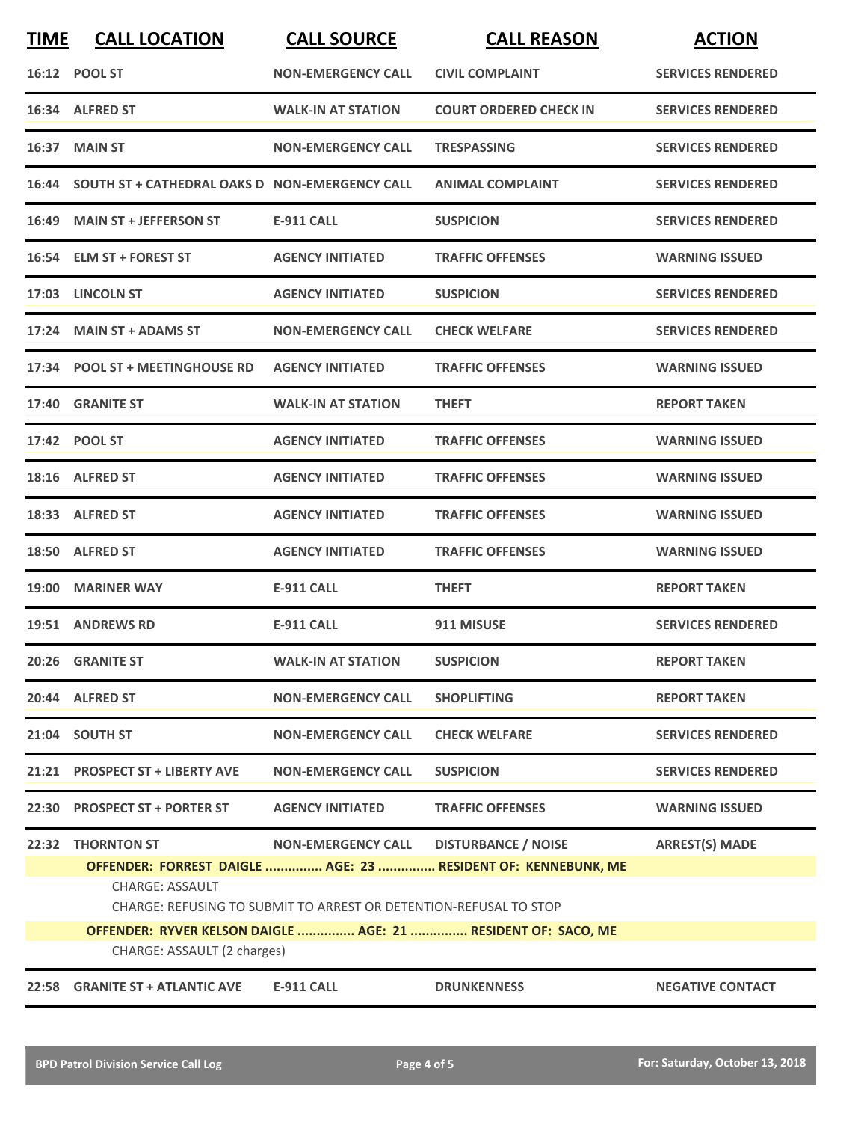| <b>TIME</b>                 | <b>CALL LOCATION</b>                                          | <b>CALL SOURCE</b>                                                                             | <b>CALL REASON</b>                                                                          | <b>ACTION</b>            |  |
|-----------------------------|---------------------------------------------------------------|------------------------------------------------------------------------------------------------|---------------------------------------------------------------------------------------------|--------------------------|--|
|                             | 16:12 POOL ST                                                 | <b>NON-EMERGENCY CALL</b>                                                                      | <b>CIVIL COMPLAINT</b>                                                                      | <b>SERVICES RENDERED</b> |  |
|                             | 16:34 ALFRED ST                                               | <b>WALK-IN AT STATION</b>                                                                      | <b>COURT ORDERED CHECK IN</b>                                                               | <b>SERVICES RENDERED</b> |  |
|                             | 16:37 MAIN ST                                                 | <b>NON-EMERGENCY CALL</b>                                                                      | <b>TRESPASSING</b>                                                                          | <b>SERVICES RENDERED</b> |  |
|                             | 16:44 SOUTH ST + CATHEDRAL OAKS D NON-EMERGENCY CALL          |                                                                                                | <b>ANIMAL COMPLAINT</b>                                                                     | <b>SERVICES RENDERED</b> |  |
|                             | 16:49 MAIN ST + JEFFERSON ST                                  | E-911 CALL                                                                                     | <b>SUSPICION</b>                                                                            | <b>SERVICES RENDERED</b> |  |
|                             | 16:54 ELM ST + FOREST ST                                      | <b>AGENCY INITIATED</b>                                                                        | <b>TRAFFIC OFFENSES</b>                                                                     | <b>WARNING ISSUED</b>    |  |
|                             | 17:03 LINCOLN ST                                              | <b>AGENCY INITIATED</b>                                                                        | <b>SUSPICION</b>                                                                            | <b>SERVICES RENDERED</b> |  |
|                             | 17:24 MAIN ST + ADAMS ST                                      | <b>NON-EMERGENCY CALL</b>                                                                      | <b>CHECK WELFARE</b>                                                                        | <b>SERVICES RENDERED</b> |  |
|                             | 17:34 POOL ST + MEETINGHOUSE RD                               | <b>AGENCY INITIATED</b>                                                                        | <b>TRAFFIC OFFENSES</b>                                                                     | <b>WARNING ISSUED</b>    |  |
|                             | 17:40 GRANITE ST                                              | <b>WALK-IN AT STATION</b>                                                                      | <b>THEFT</b>                                                                                | <b>REPORT TAKEN</b>      |  |
|                             | 17:42 POOL ST                                                 | <b>AGENCY INITIATED</b>                                                                        | <b>TRAFFIC OFFENSES</b>                                                                     | <b>WARNING ISSUED</b>    |  |
|                             | 18:16 ALFRED ST                                               | <b>AGENCY INITIATED</b>                                                                        | <b>TRAFFIC OFFENSES</b>                                                                     | <b>WARNING ISSUED</b>    |  |
|                             | 18:33 ALFRED ST                                               | <b>AGENCY INITIATED</b>                                                                        | <b>TRAFFIC OFFENSES</b>                                                                     | <b>WARNING ISSUED</b>    |  |
|                             | 18:50 ALFRED ST                                               | <b>AGENCY INITIATED</b>                                                                        | <b>TRAFFIC OFFENSES</b>                                                                     | <b>WARNING ISSUED</b>    |  |
|                             | 19:00 MARINER WAY                                             | <b>E-911 CALL</b>                                                                              | <b>THEFT</b>                                                                                | <b>REPORT TAKEN</b>      |  |
|                             | 19:51 ANDREWS RD                                              | E-911 CALL                                                                                     | 911 MISUSE                                                                                  | <b>SERVICES RENDERED</b> |  |
|                             | 20:26 GRANITE ST                                              | <b>WALK-IN AT STATION</b>                                                                      | <b>SUSPICION</b>                                                                            | <b>REPORT TAKEN</b>      |  |
|                             | 20:44 ALFRED ST                                               | <b>NON-EMERGENCY CALL</b>                                                                      | <b>SHOPLIFTING</b>                                                                          | <b>REPORT TAKEN</b>      |  |
|                             | 21:04 SOUTH ST                                                | <b>NON-EMERGENCY CALL</b>                                                                      | <b>CHECK WELFARE</b>                                                                        | <b>SERVICES RENDERED</b> |  |
|                             | 21:21 PROSPECT ST + LIBERTY AVE                               | <b>NON-EMERGENCY CALL</b>                                                                      | <b>SUSPICION</b>                                                                            | <b>SERVICES RENDERED</b> |  |
|                             | 22:30 PROSPECT ST + PORTER ST                                 | <b>AGENCY INITIATED</b>                                                                        | <b>TRAFFIC OFFENSES</b>                                                                     | <b>WARNING ISSUED</b>    |  |
|                             | 22:32 THORNTON ST<br><b>CHARGE: ASSAULT</b>                   | <b>NON-EMERGENCY CALL</b><br>CHARGE: REFUSING TO SUBMIT TO ARREST OR DETENTION-REFUSAL TO STOP | <b>DISTURBANCE / NOISE</b><br>OFFENDER: FORREST DAIGLE  AGE: 23  RESIDENT OF: KENNEBUNK, ME | <b>ARREST(S) MADE</b>    |  |
|                             | OFFENDER: RYVER KELSON DAIGLE  AGE: 21  RESIDENT OF: SACO, ME |                                                                                                |                                                                                             |                          |  |
| CHARGE: ASSAULT (2 charges) |                                                               |                                                                                                |                                                                                             |                          |  |
| 22:58                       | <b>GRANITE ST + ATLANTIC AVE</b>                              | <b>E-911 CALL</b>                                                                              | <b>DRUNKENNESS</b>                                                                          | <b>NEGATIVE CONTACT</b>  |  |